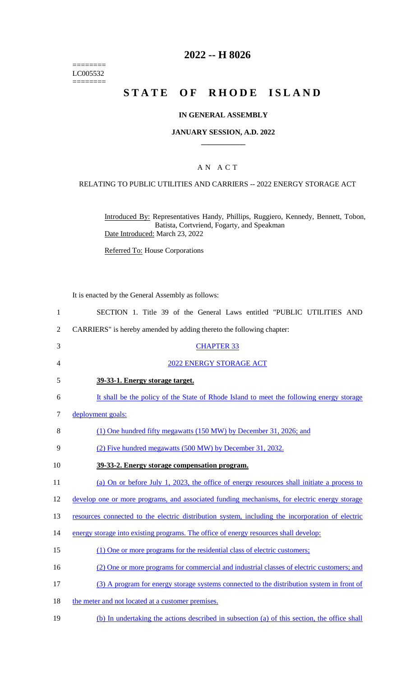======== LC005532  $=$ 

# **2022 -- H 8026**

# **STATE OF RHODE ISLAND**

## **IN GENERAL ASSEMBLY**

### **JANUARY SESSION, A.D. 2022 \_\_\_\_\_\_\_\_\_\_\_\_**

## A N A C T

## RELATING TO PUBLIC UTILITIES AND CARRIERS -- 2022 ENERGY STORAGE ACT

Introduced By: Representatives Handy, Phillips, Ruggiero, Kennedy, Bennett, Tobon, Batista, Cortvriend, Fogarty, and Speakman Date Introduced: March 23, 2022

Referred To: House Corporations

It is enacted by the General Assembly as follows:

| $\mathbf{1}$   | SECTION 1. Title 39 of the General Laws entitled "PUBLIC UTILITIES AND                           |
|----------------|--------------------------------------------------------------------------------------------------|
| $\overline{2}$ | CARRIERS" is hereby amended by adding thereto the following chapter:                             |
| 3              | <b>CHAPTER 33</b>                                                                                |
| 4              | 2022 ENERGY STORAGE ACT                                                                          |
| 5              | 39-33-1. Energy storage target.                                                                  |
| 6              | It shall be the policy of the State of Rhode Island to meet the following energy storage         |
| 7              | deployment goals:                                                                                |
| 8              | (1) One hundred fifty megawatts (150 MW) by December 31, 2026; and                               |
| 9              | (2) Five hundred megawatts (500 MW) by December 31, 2032.                                        |
| 10             | 39-33-2. Energy storage compensation program.                                                    |
| 11             | (a) On or before July 1, 2023, the office of energy resources shall initiate a process to        |
| 12             | develop one or more programs, and associated funding mechanisms, for electric energy storage     |
| 13             | resources connected to the electric distribution system, including the incorporation of electric |
| 14             | energy storage into existing programs. The office of energy resources shall develop:             |
| 15             | (1) One or more programs for the residential class of electric customers;                        |
| 16             | (2) One or more programs for commercial and industrial classes of electric customers; and        |
| 17             | (3) A program for energy storage systems connected to the distribution system in front of        |
| 18             | the meter and not located at a customer premises.                                                |
| 19             | (b) In undertaking the actions described in subsection (a) of this section, the office shall     |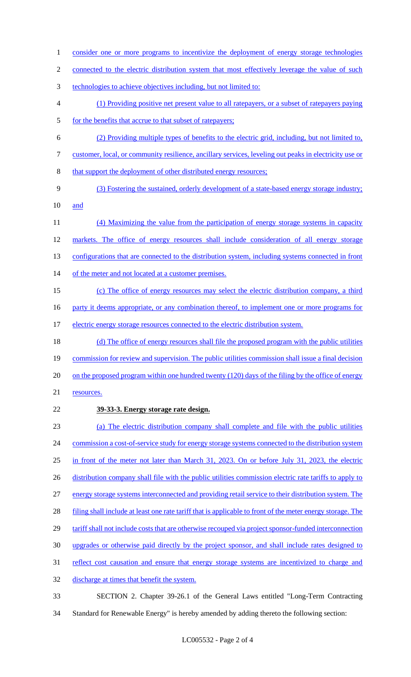2 connected to the electric distribution system that most effectively leverage the value of such 3 technologies to achieve objectives including, but not limited to: 4 (1) Providing positive net present value to all ratepayers, or a subset of ratepayers paying 5 for the benefits that accrue to that subset of ratepayers; 6 (2) Providing multiple types of benefits to the electric grid, including, but not limited to, 7 customer, local, or community resilience, ancillary services, leveling out peaks in electricity use or 8 that support the deployment of other distributed energy resources; 9 (3) Fostering the sustained, orderly development of a state-based energy storage industry; 10 and 11 (4) Maximizing the value from the participation of energy storage systems in capacity 12 markets. The office of energy resources shall include consideration of all energy storage 13 configurations that are connected to the distribution system, including systems connected in front 14 of the meter and not located at a customer premises. 15 (c) The office of energy resources may select the electric distribution company, a third 16 party it deems appropriate, or any combination thereof, to implement one or more programs for 17 electric energy storage resources connected to the electric distribution system. 18 (d) The office of energy resources shall file the proposed program with the public utilities 19 commission for review and supervision. The public utilities commission shall issue a final decision 20 on the proposed program within one hundred twenty (120) days of the filing by the office of energy 21 resources. 22 **39-33-3. Energy storage rate design.**  23 (a) The electric distribution company shall complete and file with the public utilities 24 commission a cost-of-service study for energy storage systems connected to the distribution system 25 in front of the meter not later than March 31, 2023. On or before July 31, 2023, the electric 26 distribution company shall file with the public utilities commission electric rate tariffs to apply to 27 energy storage systems interconnected and providing retail service to their distribution system. The 28 filing shall include at least one rate tariff that is applicable to front of the meter energy storage. The 29 tariff shall not include costs that are otherwise recouped via project sponsor-funded interconnection 30 upgrades or otherwise paid directly by the project sponsor, and shall include rates designed to 31 reflect cost causation and ensure that energy storage systems are incentivized to charge and 32 discharge at times that benefit the system. 33 SECTION 2. Chapter 39-26.1 of the General Laws entitled "Long-Term Contracting

1 consider one or more programs to incentivize the deployment of energy storage technologies

34 Standard for Renewable Energy" is hereby amended by adding thereto the following section: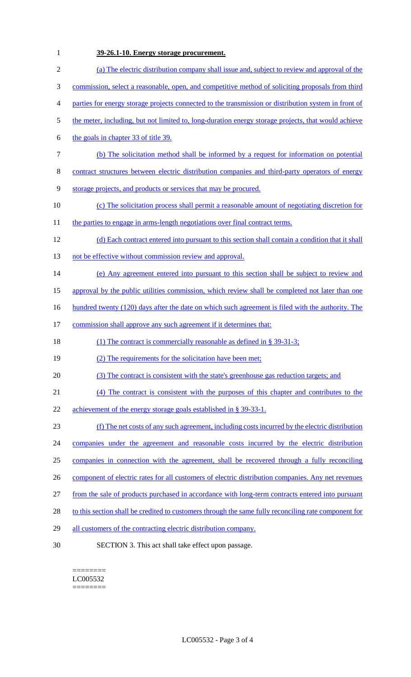# **39-26.1-10. Energy storage procurement.**

| $\overline{2}$ | (a) The electric distribution company shall issue and, subject to review and approval of the         |
|----------------|------------------------------------------------------------------------------------------------------|
| 3              | commission, select a reasonable, open, and competitive method of soliciting proposals from third     |
| $\overline{4}$ | parties for energy storage projects connected to the transmission or distribution system in front of |
| 5              | the meter, including, but not limited to, long-duration energy storage projects, that would achieve  |
| 6              | the goals in chapter 33 of title 39.                                                                 |
| $\tau$         | (b) The solicitation method shall be informed by a request for information on potential              |
| 8              | contract structures between electric distribution companies and third-party operators of energy      |
| 9              | storage projects, and products or services that may be procured.                                     |
| 10             | (c) The solicitation process shall permit a reasonable amount of negotiating discretion for          |
| 11             | the parties to engage in arms-length negotiations over final contract terms.                         |
| 12             | (d) Each contract entered into pursuant to this section shall contain a condition that it shall      |
| 13             | not be effective without commission review and approval.                                             |
| 14             | (e) Any agreement entered into pursuant to this section shall be subject to review and               |
| 15             | approval by the public utilities commission, which review shall be completed not later than one      |
| 16             | hundred twenty (120) days after the date on which such agreement is filed with the authority. The    |
| 17             | commission shall approve any such agreement if it determines that:                                   |
| 18             | (1) The contract is commercially reasonable as defined in $\S$ 39-31-3;                              |
| 19             | (2) The requirements for the solicitation have been met;                                             |
| 20             | (3) The contract is consistent with the state's greenhouse gas reduction targets; and                |
| 21             | (4) The contract is consistent with the purposes of this chapter and contributes to the              |
| 22             | achievement of the energy storage goals established in § 39-33-1.                                    |
| 23             | (f) The net costs of any such agreement, including costs incurred by the electric distribution       |
| 24             | companies under the agreement and reasonable costs incurred by the electric distribution             |
| 25             | companies in connection with the agreement, shall be recovered through a fully reconciling           |
| 26             | component of electric rates for all customers of electric distribution companies. Any net revenues   |
| 27             | from the sale of products purchased in accordance with long-term contracts entered into pursuant     |
| 28             | to this section shall be credited to customers through the same fully reconciling rate component for |
| 29             | all customers of the contracting electric distribution company.                                      |
| 30             | SECTION 3. This act shall take effect upon passage.                                                  |
|                |                                                                                                      |

======== LC005532  $=$